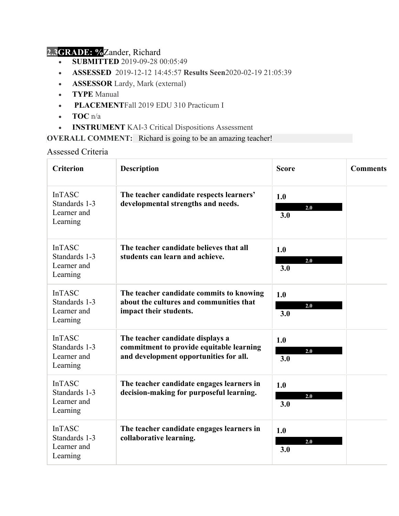## **2.3GRADE: %**Zander, Richard

- **SUBMITTED** 2019-09-28 00:05:49
- **ASSESSED** 2019-12-12 14:45:57 **Results Seen**2020-02-19 21:05:39
- **ASSESSOR** Lardy, Mark (external)
- **TYPE** Manual
- **PLACEMENT**Fall 2019 EDU 310 Practicum I
- **TOC** n/a
- **INSTRUMENT** KAI-3 Critical Dispositions Assessment

**OVERALL COMMENT:** Richard is going to be an amazing teacher!

Assessed Criteria

| <b>Criterion</b>                                          | <b>Description</b>                                                                                                     | <b>Score</b>      | <b>Comments</b> |
|-----------------------------------------------------------|------------------------------------------------------------------------------------------------------------------------|-------------------|-----------------|
| <b>InTASC</b><br>Standards 1-3<br>Learner and<br>Learning | The teacher candidate respects learners'<br>developmental strengths and needs.                                         | 1.0<br>2.0<br>3.0 |                 |
| <b>InTASC</b><br>Standards 1-3<br>Learner and<br>Learning | The teacher candidate believes that all<br>students can learn and achieve.                                             | 1.0<br>2.0<br>3.0 |                 |
| <b>InTASC</b><br>Standards 1-3<br>Learner and<br>Learning | The teacher candidate commits to knowing<br>about the cultures and communities that<br>impact their students.          | 1.0<br>2.0<br>3.0 |                 |
| <b>InTASC</b><br>Standards 1-3<br>Learner and<br>Learning | The teacher candidate displays a<br>commitment to provide equitable learning<br>and development opportunities for all. | 1.0<br>2.0<br>3.0 |                 |
| <b>InTASC</b><br>Standards 1-3<br>Learner and<br>Learning | The teacher candidate engages learners in<br>decision-making for purposeful learning.                                  | 1.0<br>2.0<br>3.0 |                 |
| <b>InTASC</b><br>Standards 1-3<br>Learner and<br>Learning | The teacher candidate engages learners in<br>collaborative learning.                                                   | 1.0<br>2.0<br>3.0 |                 |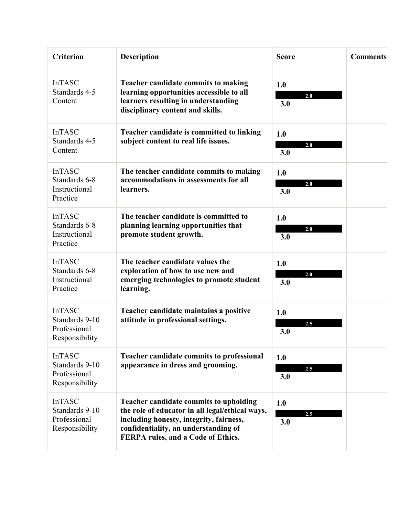| <b>Criterion</b>                                                  | <b>Description</b>                                                                                                                                                                                                 | <b>Score</b>      | <b>Comments</b> |
|-------------------------------------------------------------------|--------------------------------------------------------------------------------------------------------------------------------------------------------------------------------------------------------------------|-------------------|-----------------|
| <b>InTASC</b><br>Standards 4-5<br>Content                         | <b>Teacher candidate commits to making</b><br>learning opportunities accessible to all<br>learners resulting in understanding<br>disciplinary content and skills.                                                  | 1.0<br>2.0<br>3.0 |                 |
| <b>InTASC</b><br>Standards 4-5<br>Content                         | Teacher candidate is committed to linking<br>subject content to real life issues.                                                                                                                                  | 1.0<br>2.0<br>3.0 |                 |
| <b>InTASC</b><br>Standards 6-8<br>Instructional<br>Practice       | The teacher candidate commits to making<br>accommodations in assessments for all<br>learners.                                                                                                                      | 1.0<br>2.0<br>3.0 |                 |
| <b>InTASC</b><br>Standards 6-8<br>Instructional<br>Practice       | The teacher candidate is committed to<br>planning learning opportunities that<br>promote student growth.                                                                                                           | 1.0<br>2.0<br>3.0 |                 |
| <b>InTASC</b><br>Standards 6-8<br>Instructional<br>Practice       | The teacher candidate values the<br>exploration of how to use new and<br>emerging technologies to promote student<br>learning.                                                                                     | 1.0<br>2.0<br>3.0 |                 |
| <b>InTASC</b><br>Standards 9-10<br>Professional<br>Responsibility | Teacher candidate maintains a positive<br>attitude in professional settings.                                                                                                                                       | 1.0<br>2.5<br>3.0 |                 |
| <b>InTASC</b><br>Standards 9-10<br>Professional<br>Responsibility | Teacher candidate commits to professional<br>appearance in dress and grooming.                                                                                                                                     | 1.0<br>2.5<br>3.0 |                 |
| <b>InTASC</b><br>Standards 9-10<br>Professional<br>Responsibility | Teacher candidate commits to upholding<br>the role of educator in all legal/ethical ways,<br>including honesty, integrity, fairness,<br>confidentiality, an understanding of<br>FERPA rules, and a Code of Ethics. | 1.0<br>2.5<br>3.0 |                 |